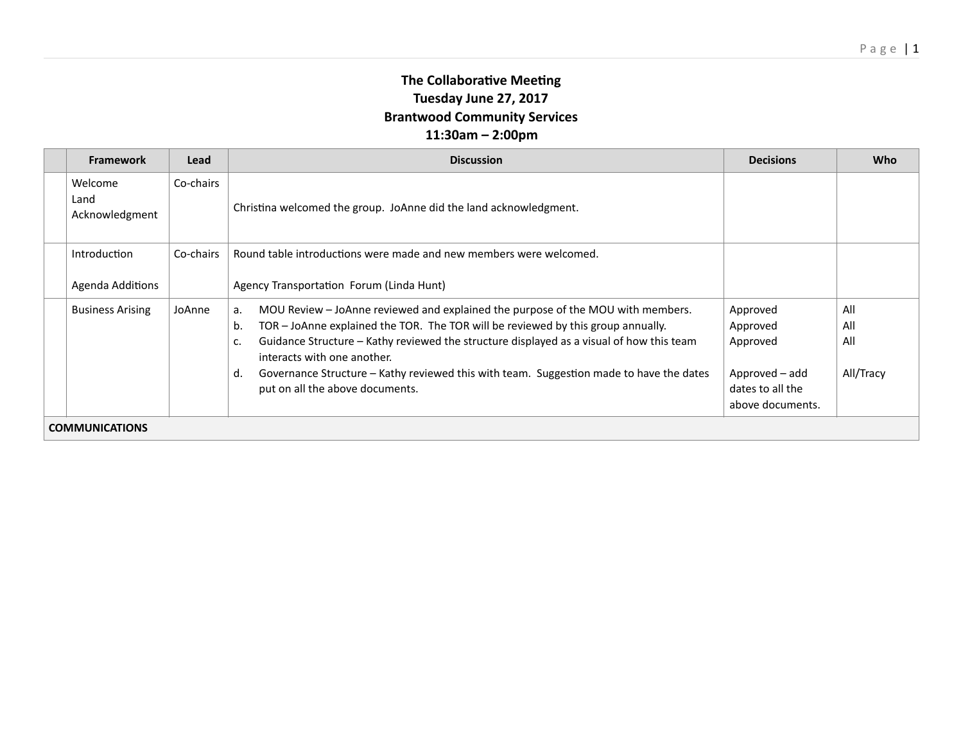## **The Collaborative Meeting Tuesday June 27, 2017 Brantwood Community Services 11:30am – 2:00pm**

|                       | <b>Framework</b>                  | Lead      | <b>Discussion</b>                                                                                                                                                                                                                                                                                                                                                                                                                                    | <b>Decisions</b>                                                                           | Who                            |  |  |
|-----------------------|-----------------------------------|-----------|------------------------------------------------------------------------------------------------------------------------------------------------------------------------------------------------------------------------------------------------------------------------------------------------------------------------------------------------------------------------------------------------------------------------------------------------------|--------------------------------------------------------------------------------------------|--------------------------------|--|--|
|                       | Welcome<br>Land<br>Acknowledgment | Co-chairs | Christina welcomed the group. JoAnne did the land acknowledgment.                                                                                                                                                                                                                                                                                                                                                                                    |                                                                                            |                                |  |  |
|                       | Introduction<br>Agenda Additions  | Co-chairs | Round table introductions were made and new members were welcomed.<br>Agency Transportation Forum (Linda Hunt)                                                                                                                                                                                                                                                                                                                                       |                                                                                            |                                |  |  |
|                       | <b>Business Arising</b>           | JoAnne    | MOU Review – JoAnne reviewed and explained the purpose of the MOU with members.<br>а.<br>TOR - JoAnne explained the TOR. The TOR will be reviewed by this group annually.<br>b.<br>Guidance Structure - Kathy reviewed the structure displayed as a visual of how this team<br>c.<br>interacts with one another.<br>Governance Structure – Kathy reviewed this with team. Suggestion made to have the dates<br>d.<br>put on all the above documents. | Approved<br>Approved<br>Approved<br>Approved - add<br>dates to all the<br>above documents. | All<br>All<br>All<br>All/Tracy |  |  |
| <b>COMMUNICATIONS</b> |                                   |           |                                                                                                                                                                                                                                                                                                                                                                                                                                                      |                                                                                            |                                |  |  |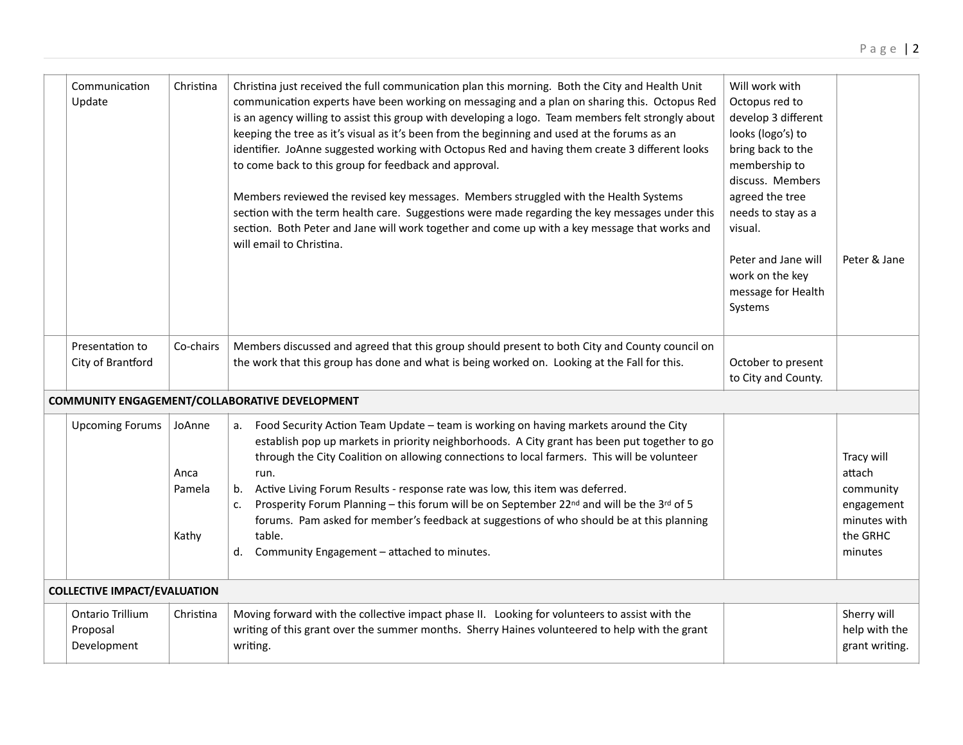| Communication<br>Update                            | Christina                         | Christina just received the full communication plan this morning. Both the City and Health Unit<br>communication experts have been working on messaging and a plan on sharing this. Octopus Red<br>is an agency willing to assist this group with developing a logo. Team members felt strongly about<br>keeping the tree as it's visual as it's been from the beginning and used at the forums as an<br>identifier. JoAnne suggested working with Octopus Red and having them create 3 different looks<br>to come back to this group for feedback and approval.<br>Members reviewed the revised key messages. Members struggled with the Health Systems<br>section with the term health care. Suggestions were made regarding the key messages under this<br>section. Both Peter and Jane will work together and come up with a key message that works and<br>will email to Christina. | Will work with<br>Octopus red to<br>develop 3 different<br>looks (logo's) to<br>bring back to the<br>membership to<br>discuss. Members<br>agreed the tree<br>needs to stay as a<br>visual.<br>Peter and Jane will<br>work on the key<br>message for Health<br>Systems | Peter & Jane                                                                           |
|----------------------------------------------------|-----------------------------------|-----------------------------------------------------------------------------------------------------------------------------------------------------------------------------------------------------------------------------------------------------------------------------------------------------------------------------------------------------------------------------------------------------------------------------------------------------------------------------------------------------------------------------------------------------------------------------------------------------------------------------------------------------------------------------------------------------------------------------------------------------------------------------------------------------------------------------------------------------------------------------------------|-----------------------------------------------------------------------------------------------------------------------------------------------------------------------------------------------------------------------------------------------------------------------|----------------------------------------------------------------------------------------|
| Presentation to<br>City of Brantford               | Co-chairs                         | Members discussed and agreed that this group should present to both City and County council on<br>the work that this group has done and what is being worked on. Looking at the Fall for this.                                                                                                                                                                                                                                                                                                                                                                                                                                                                                                                                                                                                                                                                                          | October to present<br>to City and County.                                                                                                                                                                                                                             |                                                                                        |
|                                                    |                                   | COMMUNITY ENGAGEMENT/COLLABORATIVE DEVELOPMENT                                                                                                                                                                                                                                                                                                                                                                                                                                                                                                                                                                                                                                                                                                                                                                                                                                          |                                                                                                                                                                                                                                                                       |                                                                                        |
| <b>Upcoming Forums</b>                             | JoAnne<br>Anca<br>Pamela<br>Kathy | a. Food Security Action Team Update - team is working on having markets around the City<br>establish pop up markets in priority neighborhoods. A City grant has been put together to go<br>through the City Coalition on allowing connections to local farmers. This will be volunteer<br>run.<br>Active Living Forum Results - response rate was low, this item was deferred.<br>b.<br>Prosperity Forum Planning - this forum will be on September 22nd and will be the 3rd of 5<br>c.<br>forums. Pam asked for member's feedback at suggestions of who should be at this planning<br>table.<br>Community Engagement - attached to minutes.<br>d.                                                                                                                                                                                                                                      |                                                                                                                                                                                                                                                                       | Tracy will<br>attach<br>community<br>engagement<br>minutes with<br>the GRHC<br>minutes |
| <b>COLLECTIVE IMPACT/EVALUATION</b>                |                                   |                                                                                                                                                                                                                                                                                                                                                                                                                                                                                                                                                                                                                                                                                                                                                                                                                                                                                         |                                                                                                                                                                                                                                                                       |                                                                                        |
| <b>Ontario Trillium</b><br>Proposal<br>Development | Christina                         | Moving forward with the collective impact phase II. Looking for volunteers to assist with the<br>writing of this grant over the summer months. Sherry Haines volunteered to help with the grant<br>writing.                                                                                                                                                                                                                                                                                                                                                                                                                                                                                                                                                                                                                                                                             |                                                                                                                                                                                                                                                                       | Sherry will<br>help with the<br>grant writing.                                         |
|                                                    |                                   |                                                                                                                                                                                                                                                                                                                                                                                                                                                                                                                                                                                                                                                                                                                                                                                                                                                                                         |                                                                                                                                                                                                                                                                       |                                                                                        |